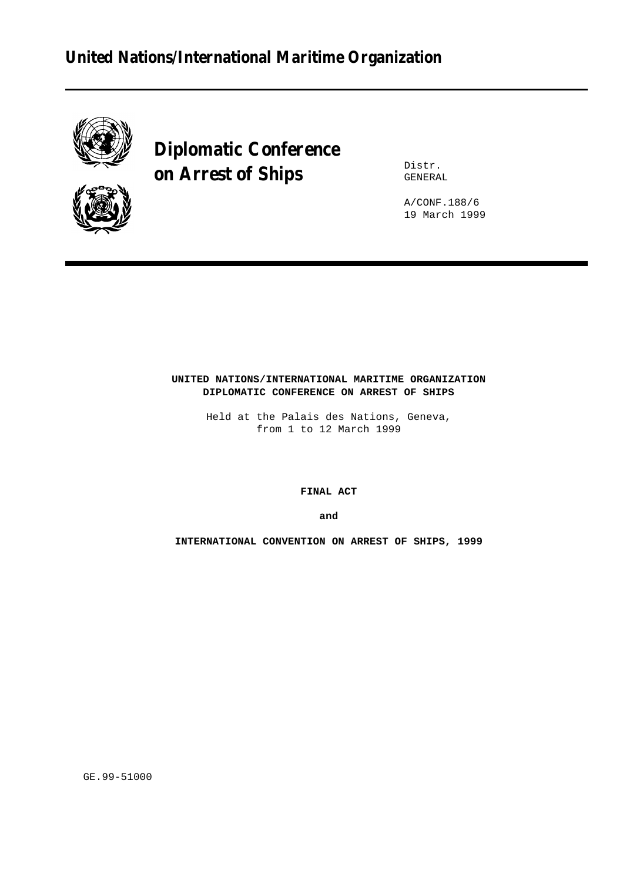

**Diplomatic Conference on Arrest of Ships** GENERAL

Distr.

A/CONF.188/6 19 March 1999



Held at the Palais des Nations, Geneva, from 1 to 12 March 1999

**FINAL ACT**

**and**

**INTERNATIONAL CONVENTION ON ARREST OF SHIPS, 1999**

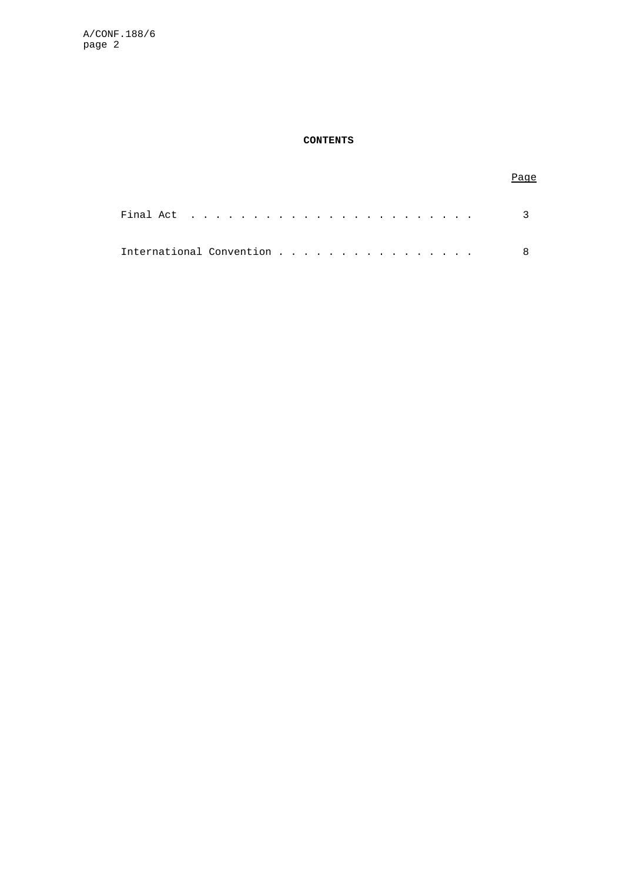# **CONTENTS**

|                          | Page |
|--------------------------|------|
|                          |      |
| International Convention |      |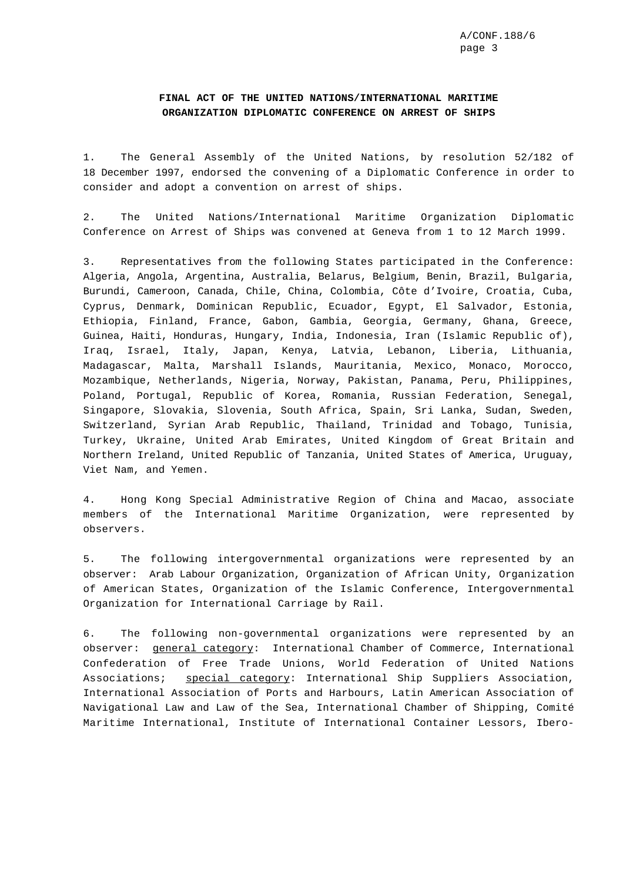# **FINAL ACT OF THE UNITED NATIONS/INTERNATIONAL MARITIME ORGANIZATION DIPLOMATIC CONFERENCE ON ARREST OF SHIPS**

1. The General Assembly of the United Nations, by resolution 52/182 of 18 December 1997, endorsed the convening of a Diplomatic Conference in order to consider and adopt a convention on arrest of ships.

2. The United Nations/International Maritime Organization Diplomatic Conference on Arrest of Ships was convened at Geneva from 1 to 12 March 1999.

3. Representatives from the following States participated in the Conference: Algeria, Angola, Argentina, Australia, Belarus, Belgium, Benin, Brazil, Bulgaria, Burundi, Cameroon, Canada, Chile, China, Colombia, Côte d'Ivoire, Croatia, Cuba, Cyprus, Denmark, Dominican Republic, Ecuador, Egypt, El Salvador, Estonia, Ethiopia, Finland, France, Gabon, Gambia, Georgia, Germany, Ghana, Greece, Guinea, Haiti, Honduras, Hungary, India, Indonesia, Iran (Islamic Republic of), Iraq, Israel, Italy, Japan, Kenya, Latvia, Lebanon, Liberia, Lithuania, Madagascar, Malta, Marshall Islands, Mauritania, Mexico, Monaco, Morocco, Mozambique, Netherlands, Nigeria, Norway, Pakistan, Panama, Peru, Philippines, Poland, Portugal, Republic of Korea, Romania, Russian Federation, Senegal, Singapore, Slovakia, Slovenia, South Africa, Spain, Sri Lanka, Sudan, Sweden, Switzerland, Syrian Arab Republic, Thailand, Trinidad and Tobago, Tunisia, Turkey, Ukraine, United Arab Emirates, United Kingdom of Great Britain and Northern Ireland, United Republic of Tanzania, United States of America, Uruguay, Viet Nam, and Yemen.

4. Hong Kong Special Administrative Region of China and Macao, associate members of the International Maritime Organization, were represented by observers.

5. The following intergovernmental organizations were represented by an observer: Arab Labour Organization, Organization of African Unity, Organization of American States, Organization of the Islamic Conference, Intergovernmental Organization for International Carriage by Rail.

6. The following non-governmental organizations were represented by an observer: general category: International Chamber of Commerce, International Confederation of Free Trade Unions, World Federation of United Nations Associations; special category: International Ship Suppliers Association, International Association of Ports and Harbours, Latin American Association of Navigational Law and Law of the Sea, International Chamber of Shipping, Comité Maritime International, Institute of International Container Lessors, Ibero-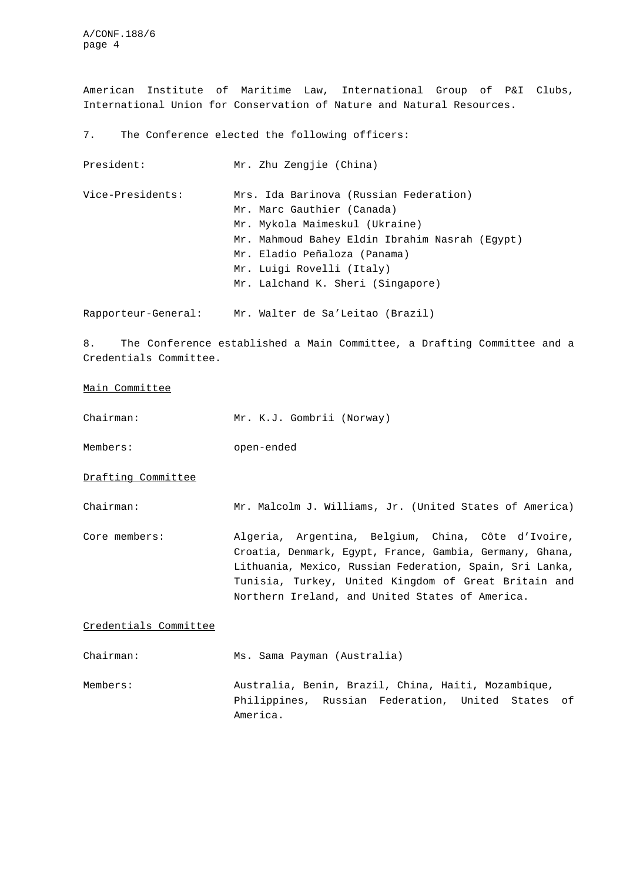American Institute of Maritime Law, International Group of P&I Clubs, International Union for Conservation of Nature and Natural Resources.

7. The Conference elected the following officers:

President: Mr. Zhu Zengjie (China) Vice-Presidents: Mrs. Ida Barinova (Russian Federation) Mr. Marc Gauthier (Canada) Mr. Mykola Maimeskul (Ukraine) Mr. Mahmoud Bahey Eldin Ibrahim Nasrah (Egypt) Mr. Eladio Peñaloza (Panama) Mr. Luigi Rovelli (Italy) Mr. Lalchand K. Sheri (Singapore)

Rapporteur-General: Mr. Walter de Sa'Leitao (Brazil)

8. The Conference established a Main Committee, a Drafting Committee and a Credentials Committee.

Main Committee

- Chairman: Mr. K.J. Gombrii (Norway)
- Members: open-ended

Drafting Committee

Chairman: Mr. Malcolm J. Williams, Jr. (United States of America)

Core members: Algeria, Argentina, Belgium, China, Côte d'Ivoire, Croatia, Denmark, Egypt, France, Gambia, Germany, Ghana, Lithuania, Mexico, Russian Federation, Spain, Sri Lanka, Tunisia, Turkey, United Kingdom of Great Britain and Northern Ireland, and United States of America.

### Credentials Committee

| Chairman: | Ms. Sama Payman (Australia)                         |
|-----------|-----------------------------------------------------|
| Members:  | Australia, Benin, Brazil, China, Haiti, Mozambique, |
|           | Philippines, Russian Federation, United States of   |
|           | America.                                            |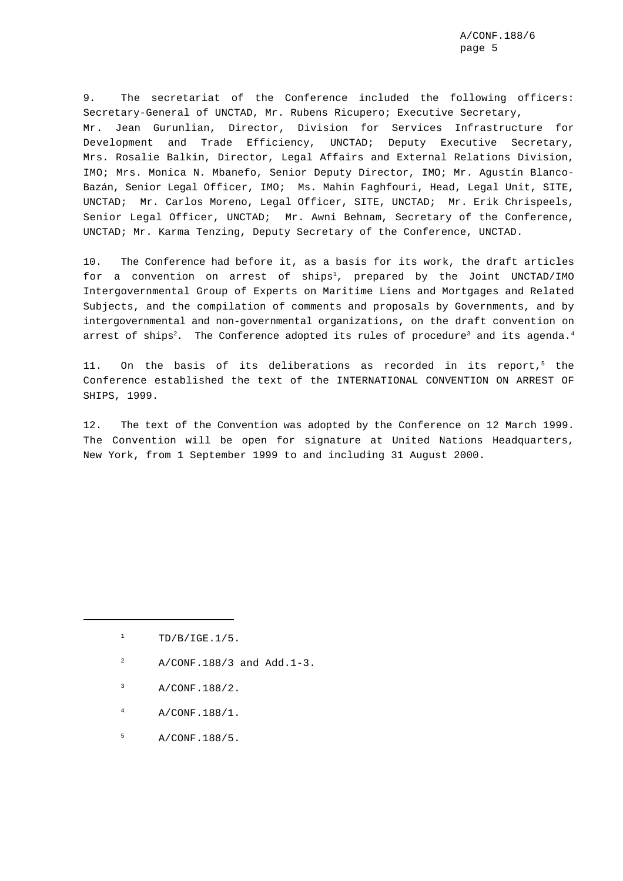9. The secretariat of the Conference included the following officers: Secretary-General of UNCTAD, Mr. Rubens Ricupero; Executive Secretary, Mr. Jean Gurunlian, Director, Division for Services Infrastructure for Development and Trade Efficiency, UNCTAD; Deputy Executive Secretary, Mrs. Rosalie Balkin, Director, Legal Affairs and External Relations Division, IMO; Mrs. Monica N. Mbanefo, Senior Deputy Director, IMO; Mr. Agustín Blanco-Bazán, Senior Legal Officer, IMO; Ms. Mahin Faghfouri, Head, Legal Unit, SITE, UNCTAD; Mr. Carlos Moreno, Legal Officer, SITE, UNCTAD; Mr. Erik Chrispeels, Senior Legal Officer, UNCTAD; Mr. Awni Behnam, Secretary of the Conference, UNCTAD; Mr. Karma Tenzing, Deputy Secretary of the Conference, UNCTAD.

10. The Conference had before it, as a basis for its work, the draft articles for a convention on arrest of ships<sup>1</sup>, prepared by the Joint UNCTAD/IMO Intergovernmental Group of Experts on Maritime Liens and Mortgages and Related Subjects, and the compilation of comments and proposals by Governments, and by intergovernmental and non-governmental organizations, on the draft convention on arrest of ships<sup>2</sup>. The Conference adopted its rules of procedure<sup>3</sup> and its agenda.<sup>4</sup>

11. On the basis of its deliberations as recorded in its report,<sup>5</sup> the Conference established the text of the INTERNATIONAL CONVENTION ON ARREST OF SHIPS, 1999.

12. The text of the Convention was adopted by the Conference on 12 March 1999. The Convention will be open for signature at United Nations Headquarters, New York, from 1 September 1999 to and including 31 August 2000.

- A/CONF.188/3 and Add.1-3. <sup>2</sup>
- $A/CONF.188/2.$
- $A/CONF.188/1.$
- $A/CONF.188/5.$

 $1$  TD/B/IGE.1/5.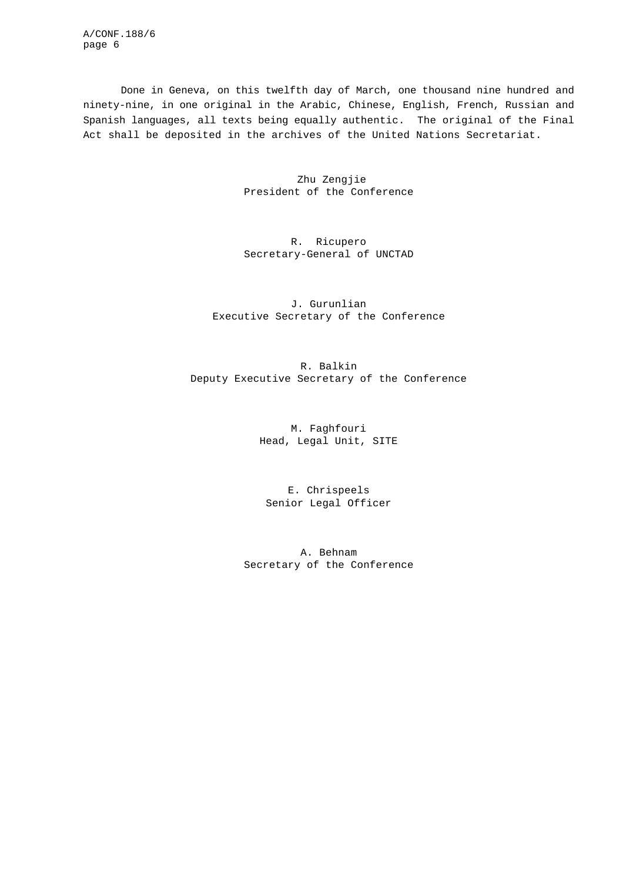Done in Geneva, on this twelfth day of March, one thousand nine hundred and ninety-nine, in one original in the Arabic, Chinese, English, French, Russian and Spanish languages, all texts being equally authentic. The original of the Final Act shall be deposited in the archives of the United Nations Secretariat.

> Zhu Zengjie President of the Conference

> R. Ricupero Secretary-General of UNCTAD

J. Gurunlian Executive Secretary of the Conference

R. Balkin Deputy Executive Secretary of the Conference

> M. Faghfouri Head, Legal Unit, SITE

E. Chrispeels Senior Legal Officer

A. Behnam Secretary of the Conference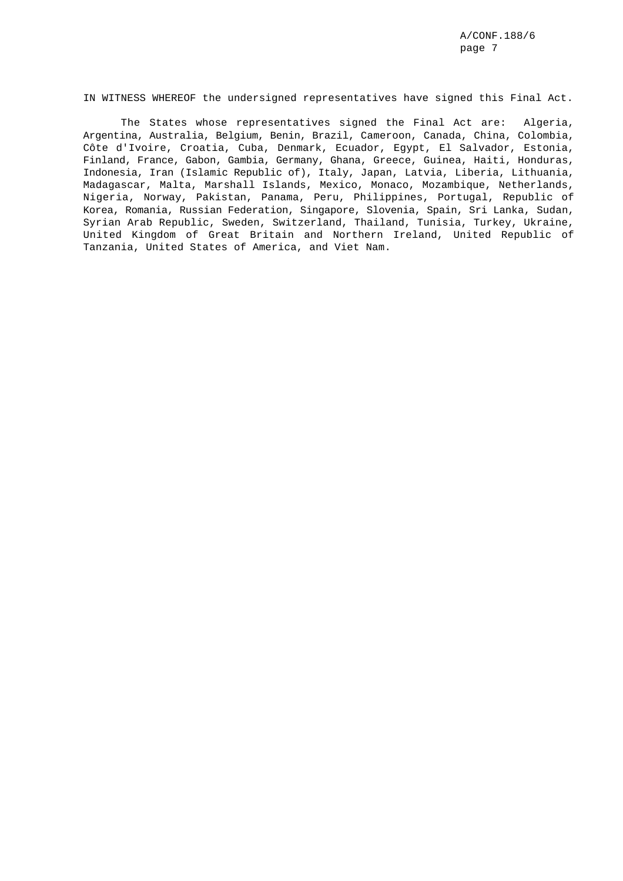IN WITNESS WHEREOF the undersigned representatives have signed this Final Act.

The States whose representatives signed the Final Act are: Algeria, Argentina, Australia, Belgium, Benin, Brazil, Cameroon, Canada, China, Colombia, Côte d'Ivoire, Croatia, Cuba, Denmark, Ecuador, Egypt, El Salvador, Estonia, Finland, France, Gabon, Gambia, Germany, Ghana, Greece, Guinea, Haiti, Honduras, Indonesia, Iran (Islamic Republic of), Italy, Japan, Latvia, Liberia, Lithuania, Madagascar, Malta, Marshall Islands, Mexico, Monaco, Mozambique, Netherlands, Nigeria, Norway, Pakistan, Panama, Peru, Philippines, Portugal, Republic of Korea, Romania, Russian Federation, Singapore, Slovenia, Spain, Sri Lanka, Sudan, Syrian Arab Republic, Sweden, Switzerland, Thailand, Tunisia, Turkey, Ukraine, United Kingdom of Great Britain and Northern Ireland, United Republic of Tanzania, United States of America, and Viet Nam.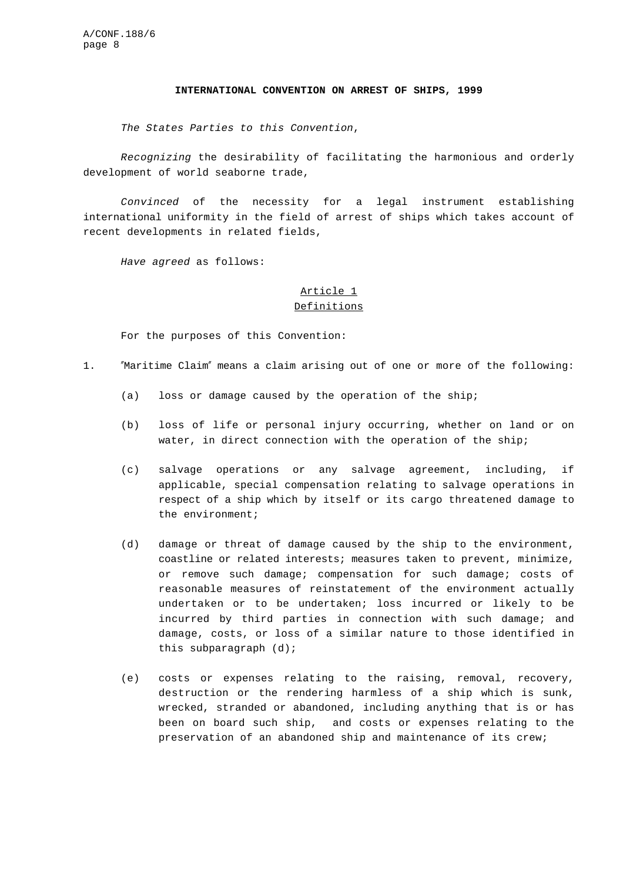#### **INTERNATIONAL CONVENTION ON ARREST OF SHIPS, 1999**

*The States Parties to this Convention*,

*Recognizing* the desirability of facilitating the harmonious and orderly development of world seaborne trade,

*Convinced* of the necessity for a legal instrument establishing international uniformity in the field of arrest of ships which takes account of recent developments in related fields,

*Have agreed* as follows:

# Article 1 **Definitions**

For the purposes of this Convention:

- 1. "Maritime Claim" means a claim arising out of one or more of the following:
	- (a) loss or damage caused by the operation of the ship;
	- (b) loss of life or personal injury occurring, whether on land or on water, in direct connection with the operation of the ship;
	- (c) salvage operations or any salvage agreement, including, if applicable, special compensation relating to salvage operations in respect of a ship which by itself or its cargo threatened damage to the environment;
	- (d) damage or threat of damage caused by the ship to the environment, coastline or related interests; measures taken to prevent, minimize, or remove such damage; compensation for such damage; costs of reasonable measures of reinstatement of the environment actually undertaken or to be undertaken; loss incurred or likely to be incurred by third parties in connection with such damage; and damage, costs, or loss of a similar nature to those identified in this subparagraph (d);
	- (e) costs or expenses relating to the raising, removal, recovery, destruction or the rendering harmless of a ship which is sunk, wrecked, stranded or abandoned, including anything that is or has been on board such ship, and costs or expenses relating to the preservation of an abandoned ship and maintenance of its crew;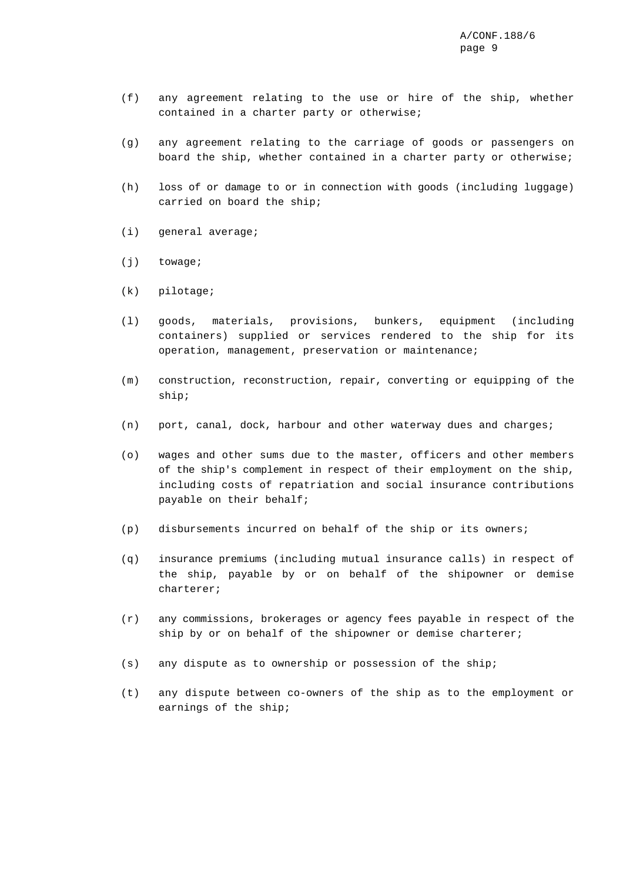- (f) any agreement relating to the use or hire of the ship, whether contained in a charter party or otherwise;
- (g) any agreement relating to the carriage of goods or passengers on board the ship, whether contained in a charter party or otherwise;
- (h) loss of or damage to or in connection with goods (including luggage) carried on board the ship;
- (i) general average;
- (j) towage;
- (k) pilotage;
- (l) goods, materials, provisions, bunkers, equipment (including containers) supplied or services rendered to the ship for its operation, management, preservation or maintenance;
- (m) construction, reconstruction, repair, converting or equipping of the ship;
- (n) port, canal, dock, harbour and other waterway dues and charges;
- (o) wages and other sums due to the master, officers and other members of the ship's complement in respect of their employment on the ship, including costs of repatriation and social insurance contributions payable on their behalf;
- (p) disbursements incurred on behalf of the ship or its owners;
- (q) insurance premiums (including mutual insurance calls) in respect of the ship, payable by or on behalf of the shipowner or demise charterer;
- (r) any commissions, brokerages or agency fees payable in respect of the ship by or on behalf of the shipowner or demise charterer;
- (s) any dispute as to ownership or possession of the ship;
- (t) any dispute between co-owners of the ship as to the employment or earnings of the ship;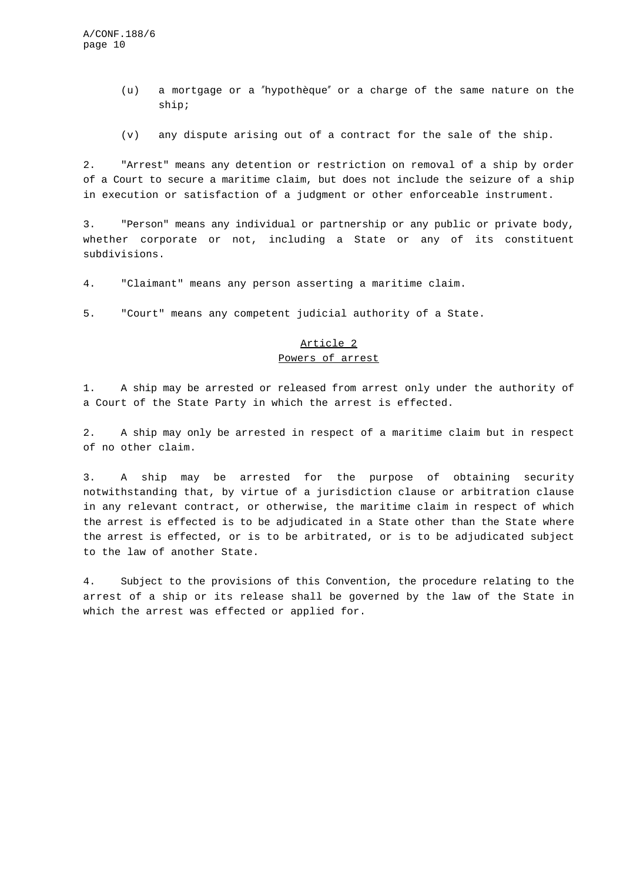- (u) a mortgage or a "hypothèque" or a charge of the same nature on the ship;
- (v) any dispute arising out of a contract for the sale of the ship.

2. "Arrest" means any detention or restriction on removal of a ship by order of a Court to secure a maritime claim, but does not include the seizure of a ship in execution or satisfaction of a judgment or other enforceable instrument.

3. "Person" means any individual or partnership or any public or private body, whether corporate or not, including a State or any of its constituent subdivisions.

- 4. "Claimant" means any person asserting a maritime claim.
- 5. "Court" means any competent judicial authority of a State.

# Article 2

### Powers of arrest

1. A ship may be arrested or released from arrest only under the authority of a Court of the State Party in which the arrest is effected.

2. A ship may only be arrested in respect of a maritime claim but in respect of no other claim.

3. A ship may be arrested for the purpose of obtaining security notwithstanding that, by virtue of a jurisdiction clause or arbitration clause in any relevant contract, or otherwise, the maritime claim in respect of which the arrest is effected is to be adjudicated in a State other than the State where the arrest is effected, or is to be arbitrated, or is to be adjudicated subject to the law of another State.

4. Subject to the provisions of this Convention, the procedure relating to the arrest of a ship or its release shall be governed by the law of the State in which the arrest was effected or applied for.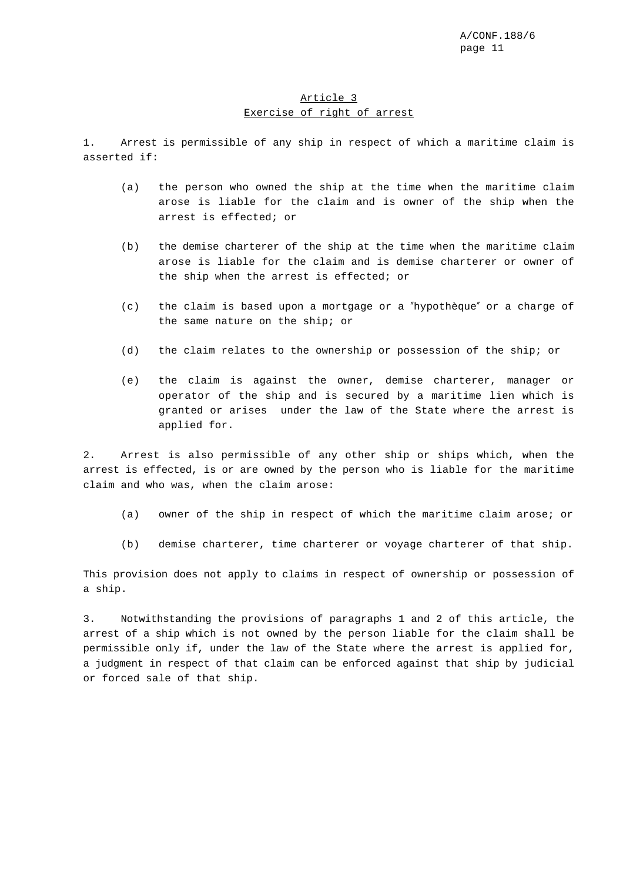# Article 3 Exercise of right of arrest

1. Arrest is permissible of any ship in respect of which a maritime claim is asserted if:

- (a) the person who owned the ship at the time when the maritime claim arose is liable for the claim and is owner of the ship when the arrest is effected; or
- (b) the demise charterer of the ship at the time when the maritime claim arose is liable for the claim and is demise charterer or owner of the ship when the arrest is effected; or
- (c) the claim is based upon a mortgage or a "hypothèque" or a charge of the same nature on the ship; or
- (d) the claim relates to the ownership or possession of the ship; or
- (e) the claim is against the owner, demise charterer, manager or operator of the ship and is secured by a maritime lien which is granted or arises under the law of the State where the arrest is applied for.

2. Arrest is also permissible of any other ship or ships which, when the arrest is effected, is or are owned by the person who is liable for the maritime claim and who was, when the claim arose:

- (a) owner of the ship in respect of which the maritime claim arose; or
- (b) demise charterer, time charterer or voyage charterer of that ship.

This provision does not apply to claims in respect of ownership or possession of a ship.

3. Notwithstanding the provisions of paragraphs 1 and 2 of this article, the arrest of a ship which is not owned by the person liable for the claim shall be permissible only if, under the law of the State where the arrest is applied for, a judgment in respect of that claim can be enforced against that ship by judicial or forced sale of that ship.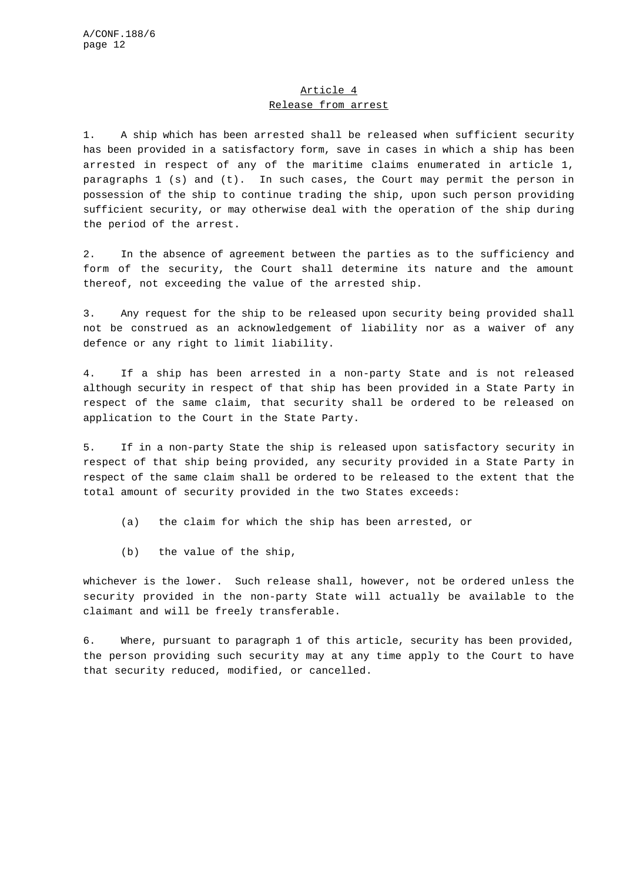# Article 4 Release from arrest

1. A ship which has been arrested shall be released when sufficient security has been provided in a satisfactory form, save in cases in which a ship has been arrested in respect of any of the maritime claims enumerated in article 1, paragraphs 1 (s) and (t). In such cases, the Court may permit the person in possession of the ship to continue trading the ship, upon such person providing sufficient security, or may otherwise deal with the operation of the ship during the period of the arrest.

2. In the absence of agreement between the parties as to the sufficiency and form of the security, the Court shall determine its nature and the amount thereof, not exceeding the value of the arrested ship.

3. Any request for the ship to be released upon security being provided shall not be construed as an acknowledgement of liability nor as a waiver of any defence or any right to limit liability.

4. If a ship has been arrested in a non-party State and is not released although security in respect of that ship has been provided in a State Party in respect of the same claim, that security shall be ordered to be released on application to the Court in the State Party.

5. If in a non-party State the ship is released upon satisfactory security in respect of that ship being provided, any security provided in a State Party in respect of the same claim shall be ordered to be released to the extent that the total amount of security provided in the two States exceeds:

- (a) the claim for which the ship has been arrested, or
- (b) the value of the ship,

whichever is the lower. Such release shall, however, not be ordered unless the security provided in the non-party State will actually be available to the claimant and will be freely transferable.

6. Where, pursuant to paragraph 1 of this article, security has been provided, the person providing such security may at any time apply to the Court to have that security reduced, modified, or cancelled.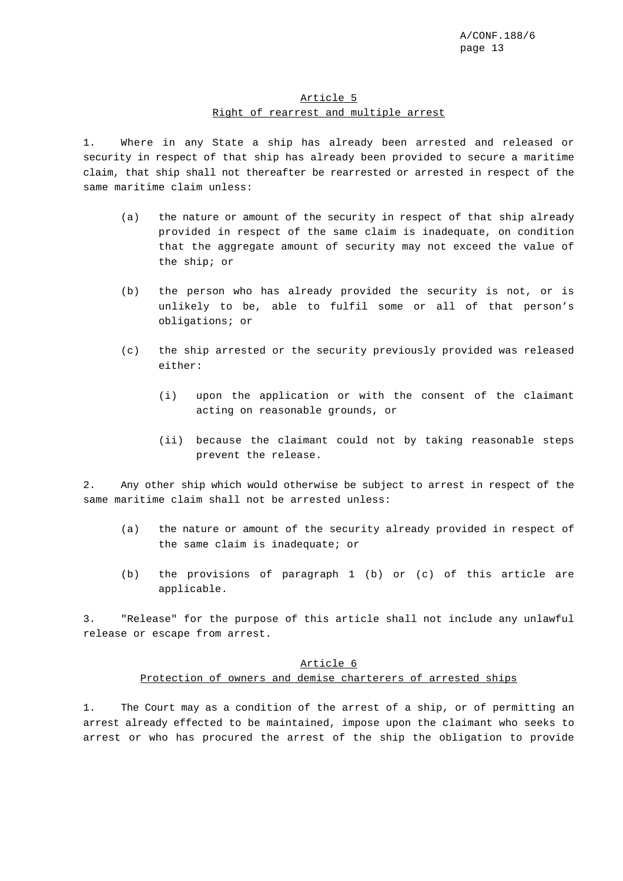# Article 5 Right of rearrest and multiple arrest

1. Where in any State a ship has already been arrested and released or security in respect of that ship has already been provided to secure a maritime claim, that ship shall not thereafter be rearrested or arrested in respect of the same maritime claim unless:

- (a) the nature or amount of the security in respect of that ship already provided in respect of the same claim is inadequate, on condition that the aggregate amount of security may not exceed the value of the ship; or
- (b) the person who has already provided the security is not, or is unlikely to be, able to fulfil some or all of that person's obligations; or
- (c) the ship arrested or the security previously provided was released either:
	- (i) upon the application or with the consent of the claimant acting on reasonable grounds, or
	- (ii) because the claimant could not by taking reasonable steps prevent the release.

2. Any other ship which would otherwise be subject to arrest in respect of the same maritime claim shall not be arrested unless:

- (a) the nature or amount of the security already provided in respect of the same claim is inadequate; or
- (b) the provisions of paragraph 1 (b) or (c) of this article are applicable.

3. "Release" for the purpose of this article shall not include any unlawful release or escape from arrest.

### Article 6

### Protection of owners and demise charterers of arrested ships

1. The Court may as a condition of the arrest of a ship, or of permitting an arrest already effected to be maintained, impose upon the claimant who seeks to arrest or who has procured the arrest of the ship the obligation to provide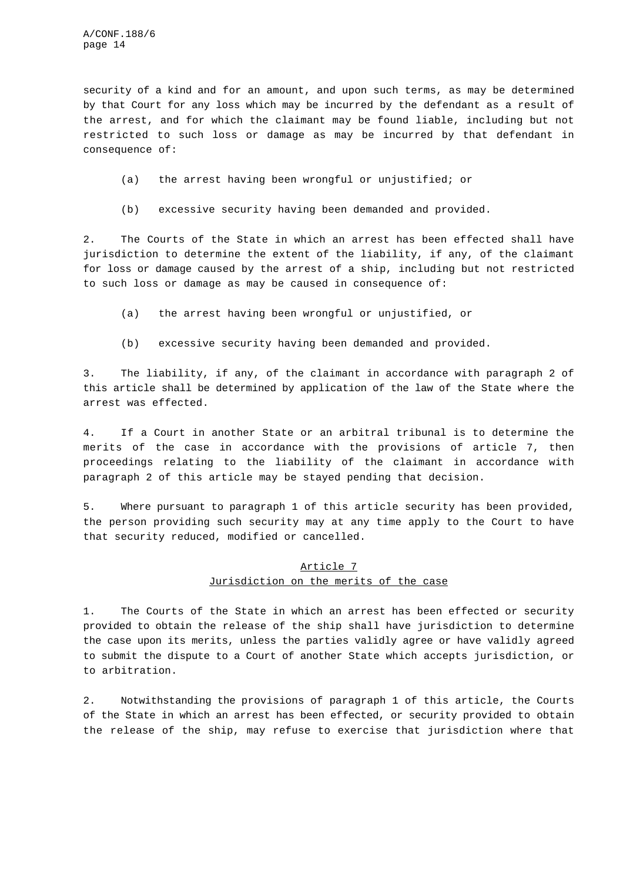security of a kind and for an amount, and upon such terms, as may be determined by that Court for any loss which may be incurred by the defendant as a result of the arrest, and for which the claimant may be found liable, including but not restricted to such loss or damage as may be incurred by that defendant in consequence of:

- (a) the arrest having been wrongful or unjustified; or
- (b) excessive security having been demanded and provided.

2. The Courts of the State in which an arrest has been effected shall have jurisdiction to determine the extent of the liability, if any, of the claimant for loss or damage caused by the arrest of a ship, including but not restricted to such loss or damage as may be caused in consequence of:

(a) the arrest having been wrongful or unjustified, or

(b) excessive security having been demanded and provided.

3. The liability, if any, of the claimant in accordance with paragraph 2 of this article shall be determined by application of the law of the State where the arrest was effected.

4. If a Court in another State or an arbitral tribunal is to determine the merits of the case in accordance with the provisions of article 7, then proceedings relating to the liability of the claimant in accordance with paragraph 2 of this article may be stayed pending that decision.

5. Where pursuant to paragraph 1 of this article security has been provided, the person providing such security may at any time apply to the Court to have that security reduced, modified or cancelled.

# Article 7 Jurisdiction on the merits of the case

1. The Courts of the State in which an arrest has been effected or security provided to obtain the release of the ship shall have jurisdiction to determine the case upon its merits, unless the parties validly agree or have validly agreed to submit the dispute to a Court of another State which accepts jurisdiction, or to arbitration.

2. Notwithstanding the provisions of paragraph 1 of this article, the Courts of the State in which an arrest has been effected, or security provided to obtain the release of the ship, may refuse to exercise that jurisdiction where that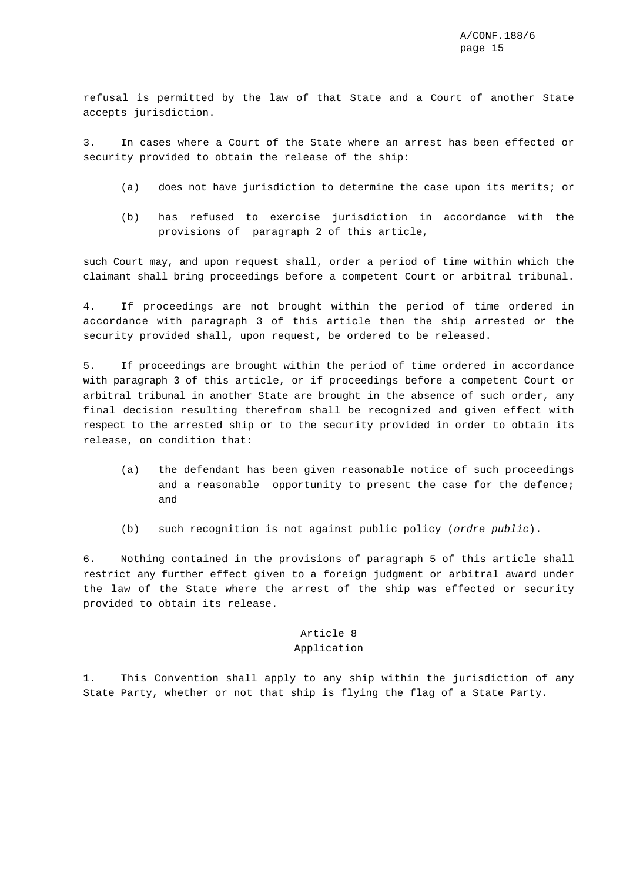refusal is permitted by the law of that State and a Court of another State accepts jurisdiction.

3. In cases where a Court of the State where an arrest has been effected or security provided to obtain the release of the ship:

- (a) does not have jurisdiction to determine the case upon its merits; or
- (b) has refused to exercise jurisdiction in accordance with the provisions of paragraph 2 of this article,

such Court may, and upon request shall, order a period of time within which the claimant shall bring proceedings before a competent Court or arbitral tribunal.

4. If proceedings are not brought within the period of time ordered in accordance with paragraph 3 of this article then the ship arrested or the security provided shall, upon request, be ordered to be released.

5. If proceedings are brought within the period of time ordered in accordance with paragraph 3 of this article, or if proceedings before a competent Court or arbitral tribunal in another State are brought in the absence of such order, any final decision resulting therefrom shall be recognized and given effect with respect to the arrested ship or to the security provided in order to obtain its release, on condition that:

- (a) the defendant has been given reasonable notice of such proceedings and a reasonable opportunity to present the case for the defence; and
- (b) such recognition is not against public policy (*ordre public*).

6. Nothing contained in the provisions of paragraph 5 of this article shall restrict any further effect given to a foreign judgment or arbitral award under the law of the State where the arrest of the ship was effected or security provided to obtain its release.

# Article 8 Application

1. This Convention shall apply to any ship within the jurisdiction of any State Party, whether or not that ship is flying the flag of a State Party.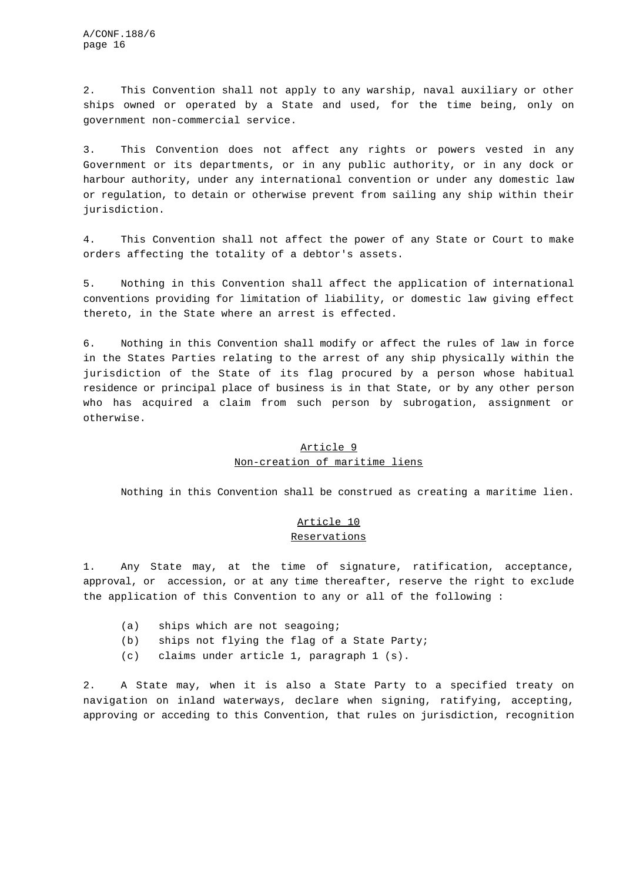2. This Convention shall not apply to any warship, naval auxiliary or other ships owned or operated by a State and used, for the time being, only on government non-commercial service.

3. This Convention does not affect any rights or powers vested in any Government or its departments, or in any public authority, or in any dock or harbour authority, under any international convention or under any domestic law or regulation, to detain or otherwise prevent from sailing any ship within their jurisdiction.

4. This Convention shall not affect the power of any State or Court to make orders affecting the totality of a debtor's assets.

5. Nothing in this Convention shall affect the application of international conventions providing for limitation of liability, or domestic law giving effect thereto, in the State where an arrest is effected.

6. Nothing in this Convention shall modify or affect the rules of law in force in the States Parties relating to the arrest of any ship physically within the jurisdiction of the State of its flag procured by a person whose habitual residence or principal place of business is in that State, or by any other person who has acquired a claim from such person by subrogation, assignment or otherwise.

# Article 9 Non-creation of maritime liens

Nothing in this Convention shall be construed as creating a maritime lien.

# Article 10

### **Reservations**

1. Any State may, at the time of signature, ratification, acceptance, approval, or accession, or at any time thereafter, reserve the right to exclude the application of this Convention to any or all of the following :

- (a) ships which are not seagoing;
- (b) ships not flying the flag of a State Party;
- (c) claims under article 1, paragraph 1 (s).

2. A State may, when it is also a State Party to a specified treaty on navigation on inland waterways, declare when signing, ratifying, accepting, approving or acceding to this Convention, that rules on jurisdiction, recognition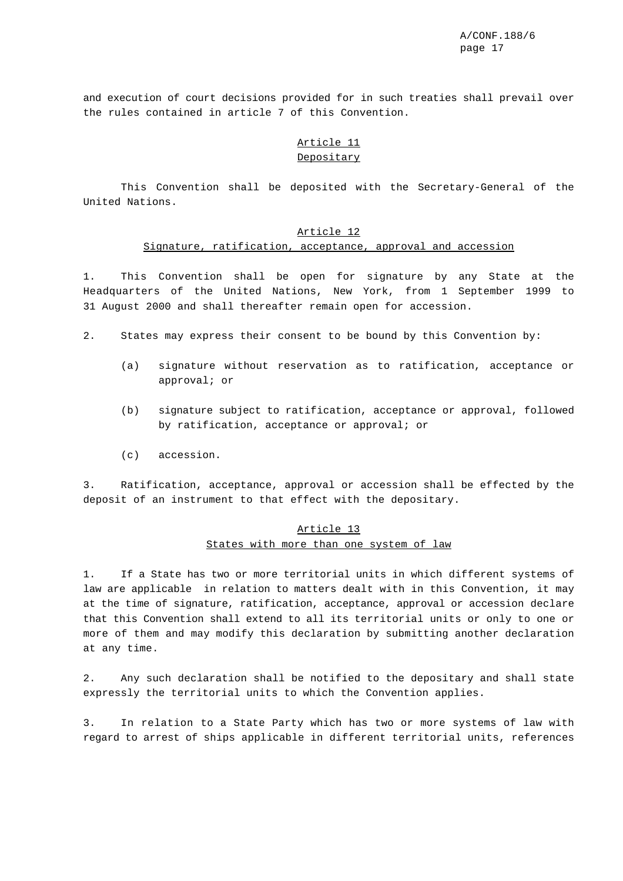and execution of court decisions provided for in such treaties shall prevail over the rules contained in article 7 of this Convention.

# Article 11 **Depositary**

This Convention shall be deposited with the Secretary-General of the United Nations.

#### Article 12

### Signature, ratification, acceptance, approval and accession

1. This Convention shall be open for signature by any State at the Headquarters of the United Nations, New York, from 1 September 1999 to 31 August 2000 and shall thereafter remain open for accession.

- 2. States may express their consent to be bound by this Convention by:
	- (a) signature without reservation as to ratification, acceptance or approval; or
	- (b) signature subject to ratification, acceptance or approval, followed by ratification, acceptance or approval; or
	- (c) accession.

3. Ratification, acceptance, approval or accession shall be effected by the deposit of an instrument to that effect with the depositary.

# Article 13 States with more than one system of law

1. If a State has two or more territorial units in which different systems of law are applicable in relation to matters dealt with in this Convention, it may at the time of signature, ratification, acceptance, approval or accession declare that this Convention shall extend to all its territorial units or only to one or more of them and may modify this declaration by submitting another declaration at any time.

2. Any such declaration shall be notified to the depositary and shall state expressly the territorial units to which the Convention applies.

3. In relation to a State Party which has two or more systems of law with regard to arrest of ships applicable in different territorial units, references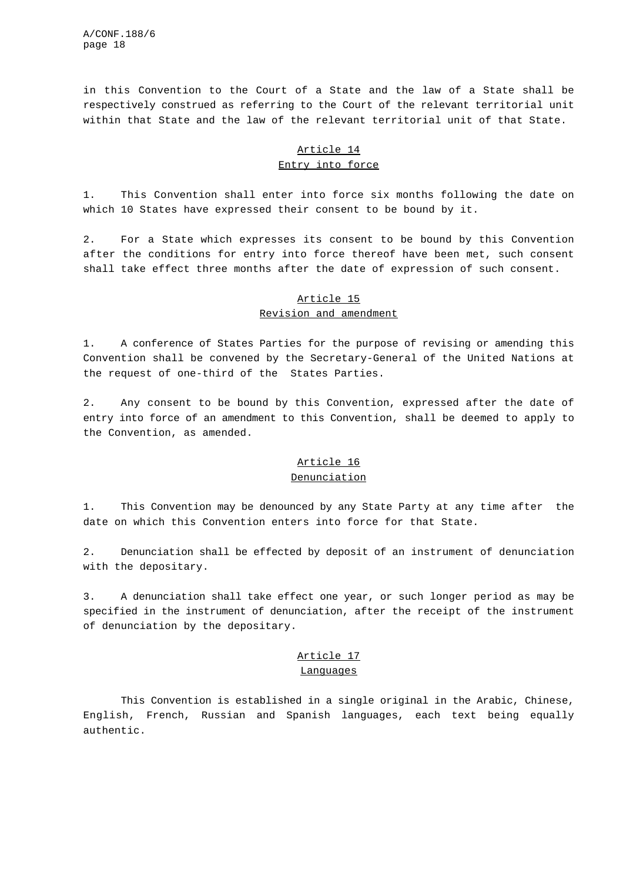in this Convention to the Court of a State and the law of a State shall be respectively construed as referring to the Court of the relevant territorial unit within that State and the law of the relevant territorial unit of that State.

# Article 14

# Entry into force

1. This Convention shall enter into force six months following the date on which 10 States have expressed their consent to be bound by it.

2. For a State which expresses its consent to be bound by this Convention after the conditions for entry into force thereof have been met, such consent shall take effect three months after the date of expression of such consent.

## Article 15

### Revision and amendment

1. A conference of States Parties for the purpose of revising or amending this Convention shall be convened by the Secretary-General of the United Nations at the request of one-third of the States Parties.

2. Any consent to be bound by this Convention, expressed after the date of entry into force of an amendment to this Convention, shall be deemed to apply to the Convention, as amended.

# Article 16

# **Denunciation**

1. This Convention may be denounced by any State Party at any time after the date on which this Convention enters into force for that State.

2. Denunciation shall be effected by deposit of an instrument of denunciation with the depositary.

3. A denunciation shall take effect one year, or such longer period as may be specified in the instrument of denunciation, after the receipt of the instrument of denunciation by the depositary.

# Article 17

## **Languages**

This Convention is established in a single original in the Arabic, Chinese, English, French, Russian and Spanish languages, each text being equally authentic.